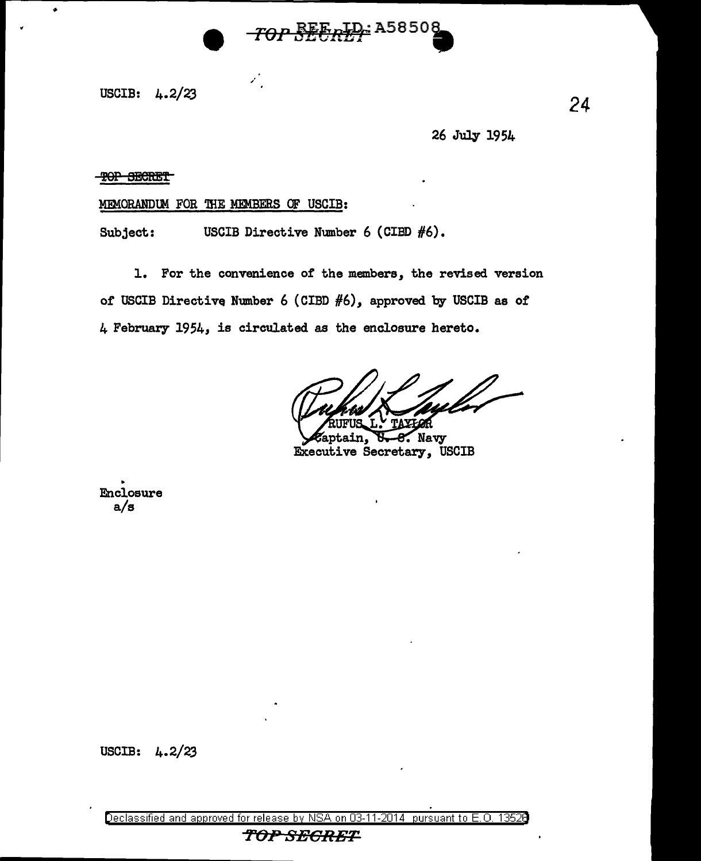

USCIB:  $4.2/23$ 

26 July 1954

**TOP SECRET** 

MEMORANDUM FOR THE MEMBERS OF USCIB:

USCIB Directive Number 6 (CIBD #6). Subject:

 $\mathcal{L}_1$ 

1. For the convenience of the members, the revised version of USCIB Directive Number 6 (CIBD  $#6$ ), approved by USCIB as of 4 February 1954, is circulated as the enclosure hereto.

faptain, 8. Navy Executive Secretary, USCIB

Enclosure  $a/s$ 

USCIB:  $4.2/23$ 

on 03-11-2014 pursuant to E.O. 13526 Declassified and approved for release by NSA